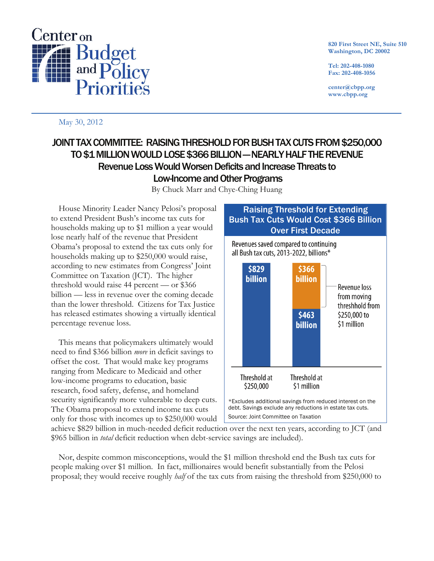

**820 First Street NE, Suite 510 Washington, DC 20002**

**Tel: 202-408-1080 Fax: 202-408-1056**

**center@cbpp.org www.cbpp.org**

## May 30, 2012

## JOINT TAX COMMITTEE: RAISING THRESHOLD FOR BUSH TAX CUTS FROM \$250,000 TO \$1 MILLION WOULD LOSE \$366 BILLION —NEARLY HALF THE REVENUE Revenue Loss Would Worsen Deficits and Increase Threats to Low-Income and Other Programs

By Chuck Marr and Chye-Ching Huang

House Minority Leader Nancy Pelosi's proposal to extend President Bush's income tax cuts for households making up to \$1 million a year would lose nearly half of the revenue that President Obama's proposal to extend the tax cuts only for households making up to \$250,000 would raise, according to new estimates from Congress' Joint Committee on Taxation (JCT). The higher threshold would raise 44 percent — or \$366 billion — less in revenue over the coming decade than the lower threshold. Citizens for Tax Justice has released estimates showing a virtually identical percentage revenue loss.

This means that policymakers ultimately would need to find \$366 billion *more* in deficit savings to offset the cost. That would make key programs ranging from Medicare to Medicaid and other low-income programs to education, basic research, food safety, defense, and homeland security significantly more vulnerable to deep cuts. The Obama proposal to extend income tax cuts only for those with incomes up to \$250,000 would



achieve \$829 billion in much-needed deficit reduction over the next ten years, according to JCT (and \$965 billion in *total* deficit reduction when debt-service savings are included).

Nor, despite common misconceptions, would the \$1 million threshold end the Bush tax cuts for people making over \$1 million. In fact, millionaires would benefit substantially from the Pelosi proposal; they would receive roughly *half* of the tax cuts from raising the threshold from \$250,000 to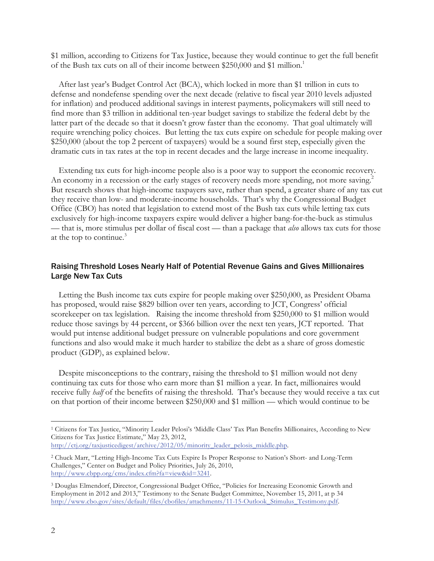\$1 million, according to Citizens for Tax Justice, because they would continue to get the full benefit of the Bush tax cuts on all of their income between \$250,000 and \$1 million.<sup>1</sup>

After last year's Budget Control Act (BCA), which locked in more than \$1 trillion in cuts to defense and nondefense spending over the next decade (relative to fiscal year 2010 levels adjusted for inflation) and produced additional savings in interest payments, policymakers will still need to find more than \$3 trillion in additional ten-year budget savings to stabilize the federal debt by the latter part of the decade so that it doesn't grow faster than the economy. That goal ultimately will require wrenching policy choices. But letting the tax cuts expire on schedule for people making over \$250,000 (about the top 2 percent of taxpayers) would be a sound first step, especially given the dramatic cuts in tax rates at the top in recent decades and the large increase in income inequality.

Extending tax cuts for high-income people also is a poor way to support the economic recovery. An economy in a recession or the early stages of recovery needs more spending, not more saving.<sup>2</sup> But research shows that high-income taxpayers save, rather than spend, a greater share of any tax cut they receive than low- and moderate-income households. That's why the Congressional Budget Office (CBO) has noted that legislation to extend most of the Bush tax cuts while letting tax cuts exclusively for high-income taxpayers expire would deliver a higher bang-for-the-buck as stimulus — that is, more stimulus per dollar of fiscal cost — than a package that *also* allows tax cuts for those at the top to continue.<sup>3</sup>

## Raising Threshold Loses Nearly Half of Potential Revenue Gains and Gives Millionaires Large New Tax Cuts

Letting the Bush income tax cuts expire for people making over \$250,000, as President Obama has proposed, would raise \$829 billion over ten years, according to JCT, Congress' official scorekeeper on tax legislation. Raising the income threshold from \$250,000 to \$1 million would reduce those savings by 44 percent, or \$366 billion over the next ten years, JCT reported. That would put intense additional budget pressure on vulnerable populations and core government functions and also would make it much harder to stabilize the debt as a share of gross domestic product (GDP), as explained below.

Despite misconceptions to the contrary, raising the threshold to \$1 million would not deny continuing tax cuts for those who earn more than \$1 million a year. In fact, millionaires would receive fully *half* of the benefits of raising the threshold. That's because they would receive a tax cut on that portion of their income between \$250,000 and \$1 million — which would continue to be

 <sup>1</sup> Citizens for Tax Justice, "Minority Leader Pelosi's 'Middle Class' Tax Plan Benefits Millionaires, According to New Citizens for Tax Justice Estimate," May 23, 2012,

http://ctj.org/taxjusticedigest/archive/2012/05/minority\_leader\_pelosis\_middle.php.

<sup>2</sup> Chuck Marr, "Letting High-Income Tax Cuts Expire Is Proper Response to Nation's Short- and Long-Term Challenges," Center on Budget and Policy Priorities, July 26, 2010, http://www.cbpp.org/cms/index.cfm?fa=view&id=3241.

<sup>3</sup> Douglas Elmendorf, Director, Congressional Budget Office, "Policies for Increasing Economic Growth and Employment in 2012 and 2013," Testimony to the Senate Budget Committee, November 15, 2011, at p 34 http://www.cbo.gov/sites/default/files/cbofiles/attachments/11-15-Outlook\_Stimulus\_Testimony.pdf.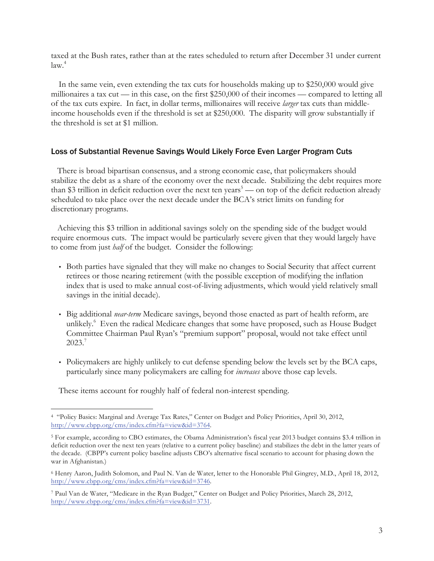taxed at the Bush rates, rather than at the rates scheduled to return after December 31 under current law. 4

In the same vein, even extending the tax cuts for households making up to \$250,000 would give millionaires a tax cut — in this case, on the first \$250,000 of their incomes — compared to letting all of the tax cuts expire. In fact, in dollar terms, millionaires will receive *larger* tax cuts than middleincome households even if the threshold is set at \$250,000. The disparity will grow substantially if the threshold is set at \$1 million.

## Loss of Substantial Revenue Savings Would Likely Force Even Larger Program Cuts

There is broad bipartisan consensus, and a strong economic case, that policymakers should stabilize the debt as a share of the economy over the next decade. Stabilizing the debt requires more than \$3 trillion in deficit reduction over the next ten years<sup>5</sup> — on top of the deficit reduction already scheduled to take place over the next decade under the BCA's strict limits on funding for discretionary programs.

Achieving this \$3 trillion in additional savings solely on the spending side of the budget would require enormous cuts. The impact would be particularly severe given that they would largely have to come from just *half* of the budget. Consider the following:

- Both parties have signaled that they will make no changes to Social Security that affect current retirees or those nearing retirement (with the possible exception of modifying the inflation index that is used to make annual cost-of-living adjustments, which would yield relatively small savings in the initial decade).
- Big additional *near-term* Medicare savings, beyond those enacted as part of health reform, are unlikely.<sup>6</sup> Even the radical Medicare changes that some have proposed, such as House Budget Committee Chairman Paul Ryan's "premium support" proposal, would not take effect until 2023. 7
- Policymakers are highly unlikely to cut defense spending below the levels set by the BCA caps, particularly since many policymakers are calling for *increases* above those cap levels.

These items account for roughly half of federal non-interest spending.

 <sup>4 &</sup>quot;Policy Basics: Marginal and Average Tax Rates," Center on Budget and Policy Priorities, April 30, 2012, http://www.cbpp.org/cms/index.cfm?fa=view&id=3764.

<sup>5</sup> For example, according to CBO estimates, the Obama Administration's fiscal year 2013 budget contains \$3.4 trillion in deficit reduction over the next ten years (relative to a current policy baseline) and stabilizes the debt in the latter years of the decade. (CBPP's current policy baseline adjusts CBO's alternative fiscal scenario to account for phasing down the war in Afghanistan.)

<sup>6</sup> Henry Aaron, Judith Solomon, and Paul N. Van de Water, letter to the Honorable Phil Gingrey, M.D., April 18, 2012, http://www.cbpp.org/cms/index.cfm?fa=view&id=3746.

<sup>7</sup> Paul Van de Water, "Medicare in the Ryan Budget," Center on Budget and Policy Priorities, March 28, 2012, http://www.cbpp.org/cms/index.cfm?fa=view&id=3731.